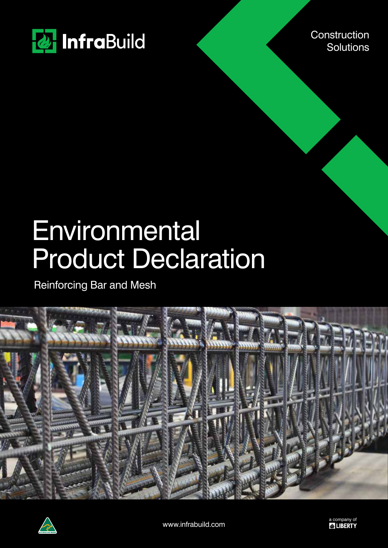

**Construction Solutions** 

# Environmental Product Declaration

Reinforcing Bar and Mesh





www.infrabuild.com a company of a company of a company of  $\mathbb{Z}^2$  **LIBERTY**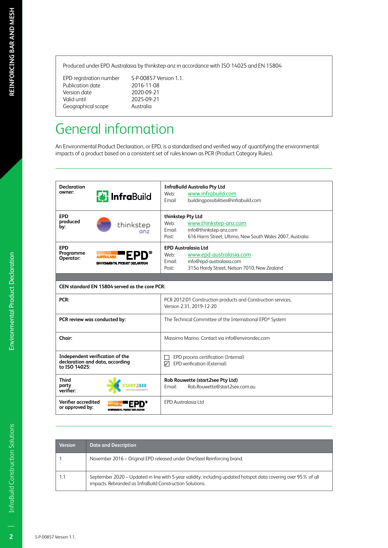Produced under EPD Australasia by thinkstep-anz in accordance with ISO 14025 and EN 15804

Publication date 2016-11-08<br>Version date 2020-09-21 Version date<br>Valid until Geographical scope

EPD registration number S-P-00857 Version 1.1. 2025-09-21<br>Australia

## General information

An Environmental Product Declaration, or EPD, is a standardised and verified way of quantifying the environmental impacts of a product based on a consistent set of rules known as PCR (Product Category Rules).

| <b>Declaration</b>                                                          |                                                                    | <b>InfraBuild Australia Pty Ltd</b>                                                      |  |  |  |
|-----------------------------------------------------------------------------|--------------------------------------------------------------------|------------------------------------------------------------------------------------------|--|--|--|
| owner:                                                                      | <b>&amp;</b> InfraBuild                                            | www.infrabuild.com<br>Web:                                                               |  |  |  |
|                                                                             |                                                                    | buildingpossibilities@infrabuild.com<br>Email                                            |  |  |  |
| <b>EPD</b>                                                                  |                                                                    | thinkstep Pty Ltd                                                                        |  |  |  |
| produced                                                                    | thinkstep                                                          | www.thinkstep-anz.com<br>Web:                                                            |  |  |  |
| by:                                                                         | anz                                                                | Email:<br>info@thinkstep-anz.com                                                         |  |  |  |
|                                                                             |                                                                    | 616 Harris Street, Ultimo, New South Wales 2007, Australia<br>Post:                      |  |  |  |
| <b>EPD</b>                                                                  |                                                                    | <b>EPD Australasia Ltd</b>                                                               |  |  |  |
| Programme                                                                   |                                                                    | www.epd-australasia.com<br>Web:                                                          |  |  |  |
| Operator:                                                                   | ENVIRONMENTAL PRODUCT DECLARATION                                  | info@epd-australasia.com<br>Email:                                                       |  |  |  |
|                                                                             |                                                                    | 315a Hardy Street, Nelson 7010, New Zealand<br>Post:                                     |  |  |  |
|                                                                             |                                                                    |                                                                                          |  |  |  |
|                                                                             | CEN standard EN 15804 served as the core PCR:                      |                                                                                          |  |  |  |
| PCR:                                                                        |                                                                    | PCR 2012:01 Construction products and Construction services,<br>Version 2.31, 2019-12-20 |  |  |  |
|                                                                             | PCR review was conducted by:                                       | The Technical Committee of the International EPD® System                                 |  |  |  |
| Chair:                                                                      |                                                                    | Massimo Marino. Contact via info@environdec.com                                          |  |  |  |
| to ISO 14025:                                                               | Independent verification of the<br>declaration and data, according | EPD process certification (Internal)<br>EPD verification (External)<br>☑                 |  |  |  |
| <b>Third</b><br>party<br>verifier:                                          |                                                                    | Rob Rouwette (start2see Pty Ltd)<br>Rob.Rouwette@start2see.com.au<br>Email:              |  |  |  |
| Verifier accredited<br>or approved by:<br>ENVIRONMENTAL PRODUCT DECLARATION |                                                                    | <b>EPD Australasia Ltd</b>                                                               |  |  |  |

| <b>Version</b> | <b>Date and Description</b>                                                                                                                                                |
|----------------|----------------------------------------------------------------------------------------------------------------------------------------------------------------------------|
|                | November 2016 – Original EPD released under OneSteel Reinforcing brand.                                                                                                    |
|                | September 2020 – Updated in line with 5-year validity, including updated hotspot data covering over 95% of all<br>impacts. Rebranded as InfraBuild Construction Solutions. |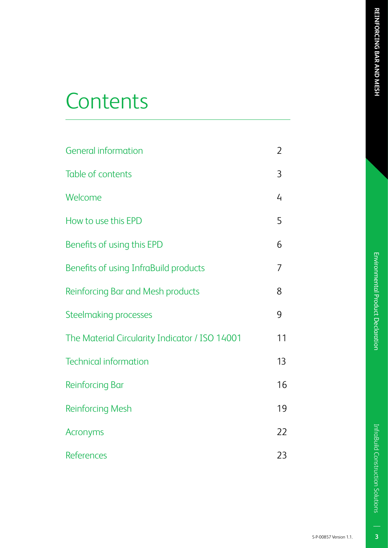# Environmental Product Declaration

## **Contents**

| <b>General information</b>                     | $\overline{2}$ |
|------------------------------------------------|----------------|
| Table of contents                              | 3              |
| Welcome                                        | 4              |
| How to use this EPD                            | 5              |
| Benefits of using this EPD                     | 6              |
| Benefits of using InfraBuild products          | 7              |
| Reinforcing Bar and Mesh products              | 8              |
| Steelmaking processes                          | 9              |
| The Material Circularity Indicator / ISO 14001 | 11             |
| <b>Technical information</b>                   | 13             |
| <b>Reinforcing Bar</b>                         | 16             |
| <b>Reinforcing Mesh</b>                        | 19             |
| Acronyms                                       | 22             |
| <b>References</b>                              | 23             |

S-P-00857 Version 1.1.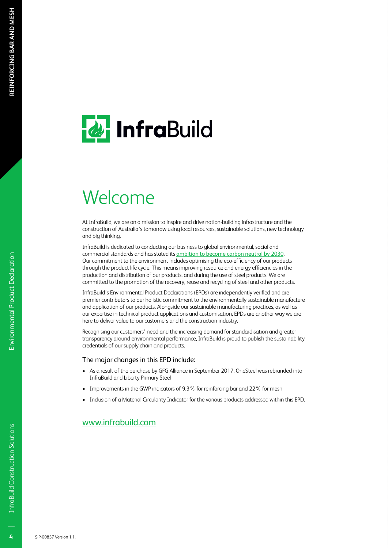# **& InfraBuild**

## Welcome

At InfraBuild, we are on a mission to inspire and drive nation-building infrastructure and the construction of Australia's tomorrow using local resources, sustainable solutions, new technology and big thinking.

InfraBuild is dedicated to conducting our business to global environmental, social and commercial standards and has stated its ambition to become carbon neutral by 2030. Our commitment to the environment includes optimising the eco-efficiency of our products through the product life cycle. This means improving resource and energy efficiencies in the production and distribution of our products, and during the use of steel products. We are committed to the promotion of the recovery, reuse and recycling of steel and other products.

InfraBuild's Environmental Product Declarations (EPDs) are independently verified and are premier contributors to our holistic commitment to the environmentally sustainable manufacture and application of our products. Alongside our sustainable manufacturing practices, as well as our expertise in technical product applications and customisation, EPDs are another way we are here to deliver value to our customers and the construction industry.

Recognising our customers' need and the increasing demand for standardisation and greater transparency around environmental performance, InfraBuild is proud to publish the sustainability credentials of our supply chain and products.

#### The major changes in this EPD include:

- As a result of the purchase by GFG Alliance in September 2017, OneSteel was rebranded into InfraBuild and Liberty Primary Steel
- Improvements in the GWP indicators of 9.3% for reinforcing bar and 22% for mesh
- Inclusion of a Material Circularity Indicator for the various products addressed within this EPD.

#### www.infrabuild.com

 $\overline{4}$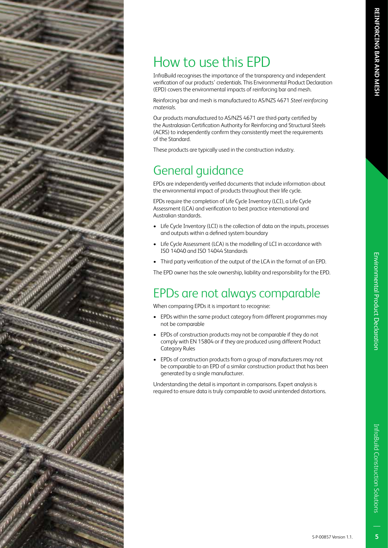## How to use this EPD

InfraBuild recognises the importance of the transparency and independent verification of our products' credentials. This Environmental Product Declaration (EPD) covers the environmental impacts of reinforcing bar and mesh.

Reinforcing bar and mesh is manufactured to AS/NZS 4671 *Steel reinforcing materials*.

Our products manufactured to AS/NZS 4671 are third-party certified by the Australasian Certification Authority for Reinforcing and Structural Steels (ACRS) to independently confirm they consistently meet the requirements of the Standard.

These products are typically used in the construction industry.

## General guidance

EPDs are independently verified documents that include information about the environmental impact of products throughout their life cycle.

EPDs require the completion of Life Cycle Inventory (LCI), a Life Cycle Assessment (LCA) and verification to best practice international and Australian standards.

- Life Cycle Inventory (LCI) is the collection of data on the inputs, processes and outputs within a defined system boundary
- Life Cycle Assessment (LCA) is the modelling of LCI in accordance with ISO 14040 and ISO 14044 Standards
- Third party verification of the output of the LCA in the format of an EPD.

The EPD owner has the sole ownership, liability and responsibility for the EPD.

## EPDs are not always comparable

When comparing EPDs it is important to recognise:

- EPDs within the same product category from different programmes may not be comparable
- EPDs of construction products may not be comparable if they do not comply with EN 15804 or if they are produced using different Product Category Rules
- EPDs of construction products from a group of manufacturers may not be comparable to an EPD of a similar construction product that has been generated by a single manufacturer.

Understanding the detail is important in comparisons. Expert analysis is required to ensure data is truly comparable to avoid unintended distortions.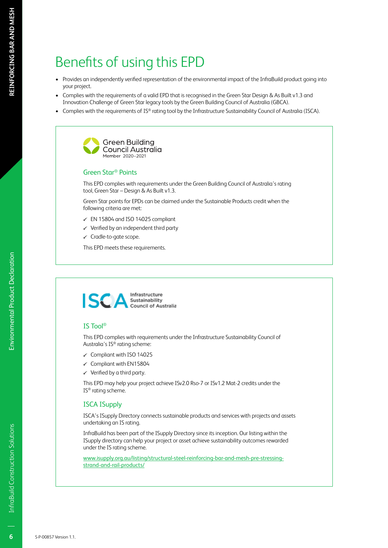## Benefits of using this EPD

- Provides an independently verified representation of the environmental impact of the InfraBuild product going into your project.
- Complies with the requirements of a valid EPD that is recognised in the Green Star Design & As Built v1.3 and Innovation Challenge of Green Star legacy tools by the Green Building Council of Australia (GBCA).
- Complies with the requirements of IS® rating tool by the Infrastructure Sustainability Council of Australia (ISCA).



#### Green Star® Points

This EPD complies with requirements under the Green Building Council of Australia's rating tool, Green Star – Design & As Built v1.3.

Green Star points for EPDs can be claimed under the Sustainable Products credit when the following criteria are met:

- $\checkmark$  EN 15804 and ISO 14025 compliant
- $\checkmark$  Verified by an independent third party
- $\checkmark$  Cradle-to-gate scope.

This EPD meets these requirements.



#### IS Tool®

This EPD complies with requirements under the Infrastructure Sustainability Council of Australia's IS® rating scheme:

- $\checkmark$  Compliant with ISO 14025
- $\checkmark$  Compliant with EN15804
- $\checkmark$  Verified by a third party.

This EPD may help your project achieve ISv2.0 Rso-7 or ISv1.2 Mat-2 credits under the IS® rating scheme.

#### ISCA ISupply

ISCA's ISupply Directory connects sustainable products and services with projects and assets undertaking an IS rating.

InfraBuild has been part of the ISupply Directory since its inception. Our listing within the ISupply directory can help your project or asset achieve sustainability outcomes rewarded under the IS rating scheme.

www.isupply.org.au/listing/structural-steel-reinforcing-bar-and-mesh-pre-stressingstrand-and-rail-products/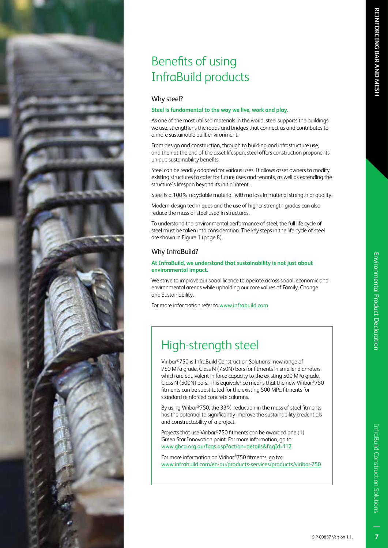## Benefits of using InfraBuild products

#### Why steel?

#### **Steel is fundamental to the way we live, work and play.**

As one of the most utilised materials in the world, steel supports the buildings we use, strengthens the roads and bridges that connect us and contributes to a more sustainable built environment.

From design and construction, through to building and infrastructure use, and then at the end of the asset lifespan, steel offers construction proponents unique sustainability benefits.

Steel can be readily adapted for various uses. It allows asset owners to modify existing structures to cater for future uses and tenants, as well as extending the structure's lifespan beyond its initial intent.

Steel is a 100% recyclable material, with no loss in material strength or quality.

Modern design techniques and the use of higher strength grades can also reduce the mass of steel used in structures.

To understand the environmental performance of steel, the full life cycle of steel must be taken into consideration. The key steps in the life cycle of steel are shown in Figure 1 (page 8).

#### Why InfraBuild?

#### **At InfraBuild, we understand that sustainability is not just about environmental impact.**

We strive to improve our social licence to operate across social, economic and environmental arenas while upholding our core values of Family, Change and Sustainability.

For more information refer to www.infrabuild.com

## High-strength steel

Viribar®750 is InfraBuild Construction Solutions' new range of 750 MPa grade, Class N (750N) bars for fitments in smaller diameters which are equivalent in force capacity to the existing 500 MPa grade, Class N (500N) bars. This equivalence means that the new Viribar®750 fitments can be substituted for the existing 500 MPa fitments for standard reinforced concrete columns.

By using Viribar®750, the 33% reduction in the mass of steel fitments has the potential to significantly improve the sustainability credentials and constructability of a project.

Projects that use Viribar®750 fitments can be awarded one (1) Green Star Innovation point. For more information, go to: www.gbca.org.au/faqs.asp?action=details&faqId=112

For more information on Viribar®750 fitments, go to: www.infrabuild.com/en-au/products-services/products/viribar-750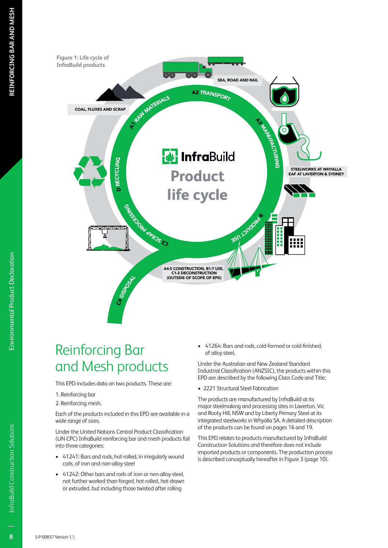

## Reinforcing Bar and Mesh products

This EPD includes data on two products. These are:

- 1. Reinforcing bar
- 2. Reinforcing mesh.

Each of the products included in this EPD are available in a wide range of sizes.

Under the United Nations Central Product Classification (UN CPC) InfraBuild reinforcing bar and mesh products fall into three categories:

- 41241: Bars and rods, hot-rolled, in irregularly wound coils, of iron and non-alloy steel
- 41242: Other bars and rods of iron or non-alloy steel, not further worked than forged, hot-rolled, hot-drawn or extruded, but including those twisted after rolling

• 41264: Bars and rods, cold-formed or cold-finished, of alloy steel.

Under the Australian and New Zealand Standard Industrial Classification (ANZSIC), the products within this EPD are described by the following Class Code and Title;

• 2221 Structural Steel Fabrication

The products are manufactured by InfraBuild at its major steelmaking and processing sites in Laverton, Vic and Rooty Hill, NSW and by Liberty Primary Steel at its integrated steelworks in Whyalla SA. A detailed description of the products can be found on pages 16 and 19.

This EPD relates to products manufactured by InfraBuild Construction Solutions and therefore does not include imported products or components. The production process is described conceptually hereafter in Figure 3 (page 10).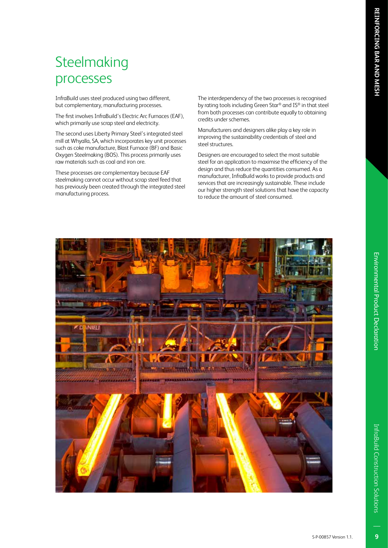InfraBuild uses steel produced using two different, but complementary, manufacturing processes.

**Steelmaking** 

processes

The first involves InfraBuild's Electric Arc Furnaces (EAF), which primarily use scrap steel and electricity.

The second uses Liberty Primary Steel's integrated steel mill at Whyalla, SA, which incorporates key unit processes such as coke manufacture, Blast Furnace (BF) and Basic Oxygen Steelmaking (BOS). This process primarily uses raw materials such as coal and iron ore.

These processes are complementary because EAF steelmaking cannot occur without scrap steel feed that has previously been created through the integrated steel manufacturing process.

The interdependency of the two processes is recognised by rating tools including Green Star® and IS® in that steel from both processes can contribute equally to obtaining credits under schemes.

Manufacturers and designers alike play a key role in improving the sustainability credentials of steel and steel structures.

Designers are encouraged to select the most suitable steel for an application to maximise the efficiency of the design and thus reduce the quantities consumed. As a manufacturer, InfraBuild works to provide products and services that are increasingly sustainable. These include our higher strength steel solutions that have the capacity to reduce the amount of steel consumed.



 $\overline{9}$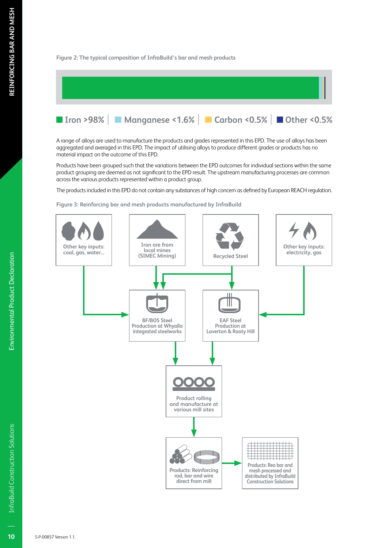#### **Figure 2: The typical composition of InfraBuild's bar and mesh products**



A range of alloys are used to manufacture the products and grades represented in this EPD. The use of alloys has been aggregated and averaged in this EPD. The impact of utilising alloys to produce different grades or products has no material impact on the outcome of this EPD.

Products have been grouped such that the variations between the EPD outcomes for individual sections within the same product grouping are deemed as not significant to the EPD result. The upstream manufacturing processes are common across the various products represented within a product group.

The products included in this EPD do not contain any substances of high concern as defined by European REACH regulation.

**Figure 3: Reinforcing bar and mesh products manufactured by InfraBuild**

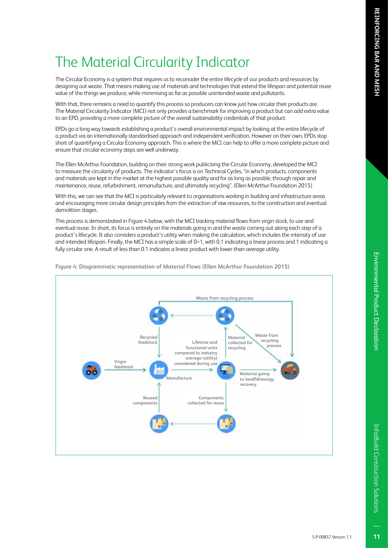## The Material Circularity Indicator

The Circular Economy is a system that requires us to reconsider the entire lifecycle of our products and resources by designing out waste. That means making use of materials and technologies that extend the lifespan and potential reuse value of the things we produce, while minimising as far as possible unintended waste and pollutants.

With that, there remains a need to quantify this process so producers can know just how circular their products are. The Material Circularity Indicator (MCI) not only provides a benchmark for improving a product but can add extra value to an EPD, providing a more complete picture of the overall sustainability credentials of that product.

EPDs go a long way towards establishing a product's overall environmental impact by looking at the entire lifecycle of a product via an internationally standardised approach and independent verification. However on their own, EPDs stop short of quantifying a Circular Economy approach. This is where the MCI can help to offer a more complete picture and ensure that circular economy steps are well underway.

The Ellen McArthur Foundation, building on their strong work publicising the Circular Economy, developed the MCI to measure the circularity of products. The indicator's focus is on Technical Cycles, "in which products, components and materials are kept in the market at the highest possible quality and for as long as possible, through repair and maintenance, reuse, refurbishment, remanufacture, and ultimately recycling". (Ellen McArthur Foundation 2015)

With this, we can see that the MCI is particularly relevant to organisations working in building and infrastructure areas and encouraging more circular design principles from the extraction of raw resources, to the construction and eventual demolition stages.

This process is demonstrated in Figure 4 below, with the MCI tracking material flows from virgin stock, to use and eventual reuse. In short, its focus is entirely on the materials going in and the waste coming out along each step of a product's lifecycle. It also considers a product's utility when making the calculation, which includes the intensity of use and intended lifespan. Finally, the MCI has a simple scale of 0-1, with 0.1 indicating a linear process and 1 indicating a fully circular one. A result of less than 0.1 indicates a linear product with lower-than-average utility.



**Figure 4: Diagrammatic representation of Material Flows (Ellen McArthur Foundation 2015)**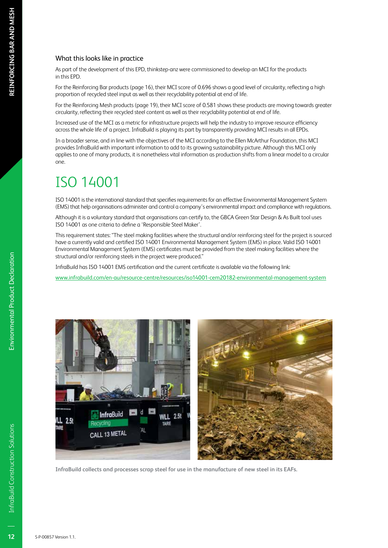#### What this looks like in practice

As part of the development of this EPD, thinkstep-anz were commissioned to develop an MCI for the products in this EPD.

For the Reinforcing Bar products (page 16), their MCI score of 0.696 shows a good level of circularity, reflecting a high proportion of recycled steel input as well as their recyclability potential at end of life.

For the Reinforcing Mesh products (page 19), their MCI score of 0.581 shows these products are moving towards greater circularity, reflecting their recycled steel content as well as their recyclability potential at end of life.

Increased use of the MCI as a metric for infrastructure projects will help the industry to improve resource efficiency across the whole life of a project. InfraBuild is playing its part by transparently providing MCI results in all EPDs.

In a broader sense, and in line with the objectives of the MCI according to the Ellen McArthur Foundation, this MCI provides InfraBuild with important information to add to its growing sustainability picture. Although this MCI only applies to one of many products, it is nonetheless vital information as production shifts from a linear model to a circular one.

## ISO 14001

ISO 14001 is the international standard that specifies requirements for an effective Environmental Management System (EMS) that help organisations administer and control a company's environmental impact and compliance with regulations.

Although it is a voluntary standard that organisations can certify to, the GBCA Green Star Design & As Built tool uses ISO 14001 as one criteria to define a 'Responsible Steel Maker'.

This requirement states: "The steel making facilities where the structural and/or reinforcing steel for the project is sourced have a currently valid and certified ISO 14001 Environmental Management System (EMS) in place. Valid ISO 14001 Environmental Management System (EMS) certificates must be provided from the steel making facilities where the structural and/or reinforcing steels in the project were produced."

InfraBuild has ISO 14001 EMS certification and the current certificate is available via the following link:

www.infrabuild.com/en-au/resource-centre/resources/iso14001-cem20182-environmental-management-system



**InfraBuild collects and processes scrap steel for use in the manufacture of new steel in its EAFs.**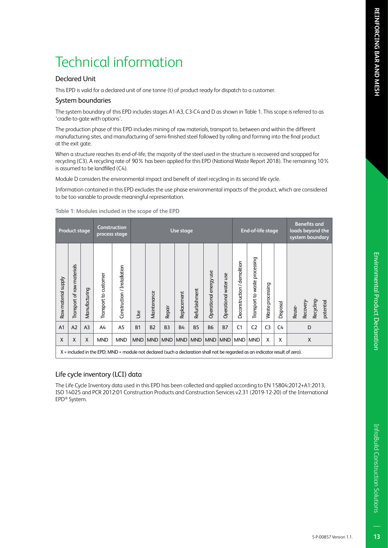#### Declared Unit

This EPD is valid for a declared unit of one tonne (t) of product ready for dispatch to a customer.

#### System boundaries

The system boundary of this EPD includes stages A1-A3, C3-C4 and D as shown in Table 1. This scope is referred to as 'cradle-to-gate with options'.

The production phase of this EPD includes mining of raw materials, transport to, between and within the different manufacturing sites, and manufacturing of semi-finished steel followed by rolling and forming into the final product at the exit gate.

When a structure reaches its end-of-life, the majority of the steel used in the structure is recovered and scrapped for recycling (C3). A recycling rate of 90% has been applied for this EPD (National Waste Report 2018). The remaining 10% is assumed to be landfilled (C4).

Module D considers the environmental impact and benefit of steel recycling in its second life cycle.

Information contained in this EPD excludes the use phase environmental impacts of the product, which are considered to be too variable to provide meaningful representation.

|                     | <b>Product stage</b>       |                | Construction<br>process stage                                                                                                 |                             |            | Use stage   |                |             |               | End-of-life stage      |                       |                             | <b>Benefits and</b><br>loads beyond the<br>system boundary |                     |          |                                  |           |
|---------------------|----------------------------|----------------|-------------------------------------------------------------------------------------------------------------------------------|-----------------------------|------------|-------------|----------------|-------------|---------------|------------------------|-----------------------|-----------------------------|------------------------------------------------------------|---------------------|----------|----------------------------------|-----------|
| Raw material supply | Transport of raw materials | Manufacturing  | Transport to customer                                                                                                         | Construction / Installation | <b>Jse</b> | Maintenance | Repair         | Replacement | Refurbishment | Operational energy use | Operational water use | Deconstruction / demolition | Transport to waste processing                              | processing<br>Waste | Disposal | Recycling-<br>Recovery<br>Reuse- | potential |
| A <sub>1</sub>      | A2                         | A <sub>3</sub> | A4                                                                                                                            | A <sub>5</sub>              | <b>B1</b>  | <b>B2</b>   | B <sub>3</sub> | <b>B4</b>   | <b>B5</b>     | <b>B6</b>              | <b>B7</b>             | C <sub>1</sub>              | C <sub>2</sub>                                             | C <sub>3</sub>      | C4       | D                                |           |
| $\mathsf{X}$        | X                          | X              | <b>MND</b>                                                                                                                    | <b>MND</b>                  | <b>MND</b> | <b>MND</b>  | <b>MND</b>     | MND         | <b>MND</b>    | MND                    | <b>MND</b>            | <b>MND</b>                  | <b>MND</b>                                                 | X                   | X        | X                                |           |
|                     |                            |                | X = included in the EPD; MND = module not declared (such a declaration shall not be regarded as an indicator result of zero). |                             |            |             |                |             |               |                        |                       |                             |                                                            |                     |          |                                  |           |

**Table 1: Modules included in the scope of the EPD**

#### Life cycle inventory (LCI) data

The Life Cycle Inventory data used in this EPD has been collected and applied according to EN 15804:2012+A1:2013, ISO 14025 and PCR 2012:01 Construction Products and Construction Services v2.31 (2019-12-20) of the International EPD® System.

InfraBuild Construction Solutions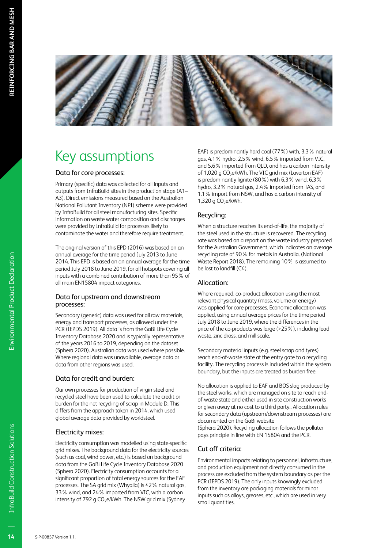

## Key assumptions

#### Data for core processes:

Primary (specific) data was collected for all inputs and outputs from InfraBuild sites in the production stage (A1– A3). Direct emissions measured based on the Australian National Pollutant Inventory (NPI) scheme were provided by InfraBuild for all steel manufacturing sites. Specific information on waste water composition and discharges were provided by InfraBuild for processes likely to contaminate the water and therefore require treatment.

The original version of this EPD (2016) was based on an annual average for the time period July 2013 to June 2014. This EPD is based on an annual average for the time period July 2018 to June 2019, for all hotspots covering all inputs with a combined contribution of more than 95% of all main EN15804 impact categories.

#### Data for upstream and downstream processes:

Secondary (generic) data was used for all raw materials, energy and transport processes, as allowed under the PCR (IEPDS 2019). All data is from the GaBi Life Cycle Inventory Database 2020 and is typically representative of the years 2016 to 2019, depending on the dataset (Sphera 2020). Australian data was used where possible. Where regional data was unavailable, average data or data from other regions was used.

#### Data for credit and burden:

Our own processes for production of virgin steel and recycled steel have been used to calculate the credit or burden for the net recycling of scrap in Module D. This differs from the approach taken in 2014, which used global average data provided by worldsteel.

#### Electricity mixes:

Electricity consumption was modelled using state-specific grid mixes. The background data for the electricity sources (such as coal, wind power, etc.) is based on background data from the GaBi Life Cycle Inventory Database 2020 (Sphera 2020). Electricity consumption accounts for a significant proportion of total energy sources for the EAF processes. The SA grid mix (Whyalla) is 42% natural gas, 33% wind, and 24% imported from VIC, with a carbon intensity of 792 g CO<sub>2</sub>e/kWh. The NSW grid mix (Sydney

EAF) is predominantly hard coal (77%) with, 3.3% natural gas, 4.1% hydro, 2.5% wind, 6.5% imported from VIC, and 5.6% imported from QLD, and has a carbon intensity of 1,020 g CO<sub>2</sub>e/kWh. The VIC grid mix (Laverton EAF) is predominantly lignite (80%) with 6.3% wind, 6.3% hydro, 3.2% natural gas, 2.4% imported from TAS, and 1.1% import from NSW, and has a carbon intensity of 1,320 g  $CO<sub>2</sub>e/kWh$ .

#### Recycling:

When a structure reaches its end-of-life, the majority of the steel used in the structure is recovered. The recycling rate was based on a report on the waste industry prepared for the Australian Government, which indicates an average recycling rate of 90% for metals in Australia. (National Waste Report 2018). The remaining 10% is assumed to be lost to landfill (C4).

#### Allocation:

Where required, co-product allocation using the most relevant physical quantity (mass, volume or energy) was applied for core processes. Economic allocation was applied, using annual average prices for the time period July 2018 to June 2019, where the differences in the price of the co-products was large (>25%), including lead waste, zinc dross, and mill scale.

Secondary material inputs (e.g. steel scrap and tyres) reach end-of-waste state at the entry gate to a recycling facility. The recycling process is included within the system boundary, but the inputs are treated as burden free.

No allocation is applied to EAF and BOS slag produced by the steel works, which are managed on site to reach endof-waste state and either used in site construction works or given away at no cost to a third party.. Allocation rules for secondary data (upstream/downstream processes) are documented on the GaBi website

(Sphera 2020). Recycling allocation follows the polluter pays principle in line with EN 15804 and the PCR.

#### Cut off criteria:

Environmental impacts relating to personnel, infrastructure, and production equipment not directly consumed in the process are excluded from the system boundary as per the PCR (IEPDS 2019). The only inputs knowingly excluded from the inventory are packaging materials for minor inputs such as alloys, greases, etc., which are used in very small quantities.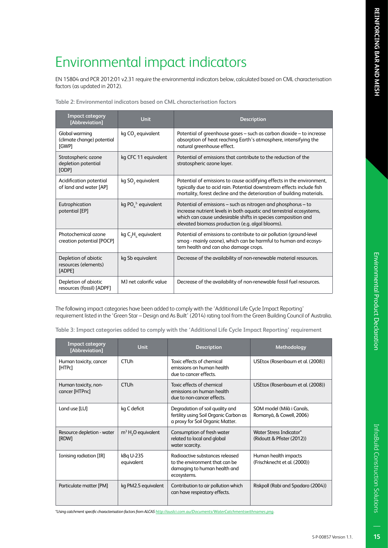## Environmental impact indicators

EN 15804 and PCR 2012:01 v2.31 require the environmental indicators below, calculated based on CML characterisation factors (as updated in 2012).

**Table 2: Environmental indicators based on CML characterisation factors**

| <b>Impact category</b><br>[Abbreviation]               | <b>Unit</b>                   | <b>Description</b>                                                                                                                                                                                                                                         |
|--------------------------------------------------------|-------------------------------|------------------------------------------------------------------------------------------------------------------------------------------------------------------------------------------------------------------------------------------------------------|
| Global warming<br>(climate change) potential<br>[GWP]  | kg CO <sub>2</sub> equivalent | Potential of greenhouse gases – such as carbon dioxide – to increase<br>absorption of heat reaching Earth's atmosphere, intensifying the<br>natural greenhouse effect.                                                                                     |
| Stratospheric ozone<br>depletion potential<br>[ODP]    | kg CFC 11 equivalent          | Potential of emissions that contribute to the reduction of the<br>stratospheric ozone layer.                                                                                                                                                               |
| Acidification potential<br>of land and water [AP]      | kg SO <sub>2</sub> equivalent | Potential of emissions to cause acidifying effects in the environment,<br>typically due to acid rain. Potential downstream effects include fish<br>mortality, forest decline and the deterioration of building materials.                                  |
| Eutrophication<br>potential [EP]                       | kg PO $^3$ equivalent         | Potential of emissions – such as nitrogen and phosphorus – to<br>increase nutrient levels in both aquatic and terrestrial ecosystems,<br>which can cause undesirable shifts in species composition and<br>elevated biomass production (e.g. algal blooms). |
| Photochemical ozone<br>creation potential [POCP]       | kg $C_2H_2$ equivalent        | Potential of emissions to contribute to air pollution (ground-level<br>smog - mainly ozone), which can be harmful to human and ecosys-<br>tem health and can also damage crops.                                                                            |
| Depletion of abiotic<br>resources (elements)<br>[ADPE] | kg Sb equivalent              | Decrease of the availability of non-renewable material resources.                                                                                                                                                                                          |
| Depletion of abiotic<br>resources (fossil) [ADPF]      | MJ net calorific value        | Decrease of the availability of non-renewable fossil fuel resources.                                                                                                                                                                                       |

The following impact categories have been added to comply with the 'Additional Life Cycle Impact Reporting' requirement listed in the 'Green Star – Design and As Built' (2014) rating tool from the Green Building Council of Australia.

**Table 3: Impact categories added to comply with the 'Additional Life Cycle Impact Reporting' requirement**

| <b>Impact category</b><br>[Abbreviation] | <b>Unit</b>             | <b>Description</b>                                                                                               | Methodology                                           |
|------------------------------------------|-------------------------|------------------------------------------------------------------------------------------------------------------|-------------------------------------------------------|
| Human toxicity, cancer<br>[HTPc]         | <b>CTU<sub>h</sub></b>  | Toxic effects of chemical<br>emissions on human health<br>due to cancer effects.                                 | USEtox (Rosenbaum et al. (2008))                      |
| Human toxicity, non-<br>cancer [HTPnc]   | <b>CTU<sub>h</sub></b>  | Toxic effects of chemical<br>emissions on human health<br>due to non-cancer effects.                             | USEtox (Rosenbaum et al. (2008))                      |
| Land use [LU]                            | kg C deficit            | Degradation of soil quality and<br>fertility using Soil Organic Carbon as<br>a proxy for Soil Organic Matter.    | SOM model (Milà i Canals,<br>Romanyà, & Cowell, 2006) |
| Resource depletion - water<br>[RDW]      | $m3 H2O$ equivalent     | Consumption of fresh water<br>related to local and global<br>water scarcity.                                     | Water Stress Indicator*<br>(Ridoutt & Pfister (2012)) |
| Ionising radiation [IR]                  | kBq U-235<br>equivalent | Radioactive substances released<br>to the environment that can be<br>damaging to human health and<br>ecosystems. | Human health impacts<br>(Frischknecht et al. (2000))  |
| Particulate matter [PM]                  | kg PM2.5 equivalent     | Contribution to air pollution which<br>can have respiratory effects.                                             | Riskpoll (Rabi and Spadaro (2004))                    |

*\*Using catchment specific characterisation factors from ALCAS http://auslci.com.au/Documents/WaterCatchmentswithnames.png.*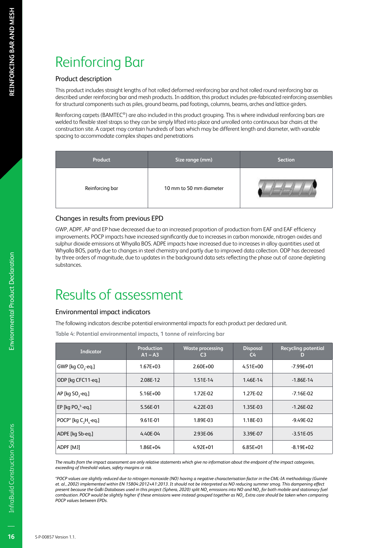## Reinforcing Bar

#### Product description

This product includes straight lengths of hot rolled deformed reinforcing bar and hot rolled round reinforcing bar as described under reinforcing bar and mesh products. In addition, this product includes pre-fabricated reinforcing assemblies for structural components such as piles, ground beams, pad footings, columns, beams, arches and lattice girders.

Reinforcing carpets (BAMTEC®) are also included in this product grouping. This is where individual reinforcing bars are welded to flexible steel straps so they can be simply lifted into place and unrolled onto continuous bar chairs at the construction site. A carpet may contain hundreds of bars which may be different length and diameter, with variable spacing to accommodate complex shapes and penetrations

| Product         | Size range (mm)         | <b>Section</b> |
|-----------------|-------------------------|----------------|
| Reinforcing bar | 10 mm to 50 mm diameter |                |

#### Changes in results from previous EPD

GWP, ADPF, AP and EP have decreased due to an increased proportion of production from EAF and EAF efficiency improvements. POCP impacts have increased significantly due to increases in carbon monoxide, nitrogen oxides and sulphur dioxide emissions at Whyalla BOS. ADPE impacts have increased due to increases in alloy quantities used at Whyalla BOS, partly due to changes in steel chemistry and partly due to improved data collection. ODP has decreased by three orders of magnitude, due to updates in the background data sets reflecting the phase out of ozone depleting substances.

## Results of assessment

#### Environmental impact indicators

The following indicators describe potential environmental impacts for each product per declared unit.

**Table 4: Potential environmental impacts, 1 tonne of reinforcing bar**

| <b>Indicator</b>                  | Production<br>$A1 - A3$ | <b>Waste processing</b><br>C <sub>3</sub> | <b>Disposal</b><br>C4 | <b>Recycling potential</b><br>D |
|-----------------------------------|-------------------------|-------------------------------------------|-----------------------|---------------------------------|
| GWP [kg CO <sub>2</sub> -eq.]     | $1.67E + 03$            | $2.60E + 00$                              | $4.51E + 00$          | $-7.99E + 01$                   |
| ODP [kg CFC11-eg.]                | 2.08E-12                | 1.51E-14                                  | 1.46E-14              | $-1.86E - 14$                   |
| AP [kg $SO$ <sub>2</sub> -eq.]    | $5.16E+00$              | 1.72E-02                                  | 1.27E-02              | $-7.16E - 02$                   |
| EP [kg PO $^3$ -eq.]              | 5.56E-01                | $4.22E-03$                                | 1.35E-03              | $-1.26E - 02$                   |
| POCP <sup>*</sup> [kg C, H, -eq.] | 9.61E-01                | 1.89E-03                                  | 1.18E-03              | $-9.49E - 02$                   |
| ADPE [kg Sb-eg.]                  | 4.40E-04                | 2.93E-06                                  | 3.39E-07              | $-3.51E - 05$                   |
| ADPF [MJ]                         | 1.86E+04                | $4.92E + 01$                              | $6.85E+01$            | $-8.19E + 02$                   |

*The results from the impact assessment are only relative statements which give no information about the endpoint of the impact categories, exceeding of threshold values, safety margins or risk.*

*\*POCP values are slightly reduced due to nitrogen monoxide (NO) having a negative characterisation factor in the CML-IA methodology (Guinée et. al., 2002) implemented within EN 15804:2012+A1:2013. It should not be interpreted as NO reducing summer smog. This dampening effect present because the GaBi Databases used in this project (Sphera, 2020) split NOx emissions into NO and NO2 for both mobile and stationary fuel combustion. POCP would be slightly higher if these emissions were instead grouped together as NOx. Extra care should be taken when comparing POCP values between EPDs.*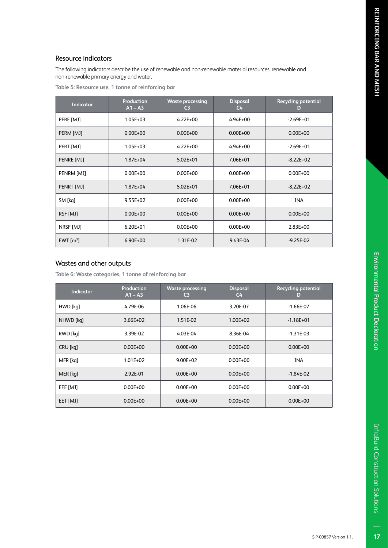#### Resource indicators

The following indicators describe the use of renewable and non-renewable material resources, renewable and non-renewable primary energy and water.

| <b>Indicator</b>  | <b>Production</b><br>$A1 - A3$ | <b>Waste processing</b><br>C <sub>3</sub> | <b>Disposal</b><br>$C_{\rm 4}$ | <b>Recycling potential</b><br>D |
|-------------------|--------------------------------|-------------------------------------------|--------------------------------|---------------------------------|
| PERE [MJ]         | $1.05E + 03$                   | $4.22E + 00$                              | $4.94E + 00$                   | $-2.69E + 01$                   |
| PERM [MJ]         | $0.00E + 00$                   | $0.00E + 00$                              | $0.00E + 00$                   | $0.00E + 00$                    |
| PERT [MJ]         | $1.05E + 03$                   | $4.22E + 00$                              | $4.94E + 00$                   | $-2.69E + 01$                   |
| PENRE [MJ]        | $1.87E + 04$                   | $5.02E + 01$                              | 7.06E+01                       | $-8.22E+02$                     |
| PENRM [MJ]        | $0.00E + 00$                   | $0.00E + 00$                              | $0.00E + 00$                   | $0.00E + 00$                    |
| PENRT [MJ]        | $1.87E + 04$                   | $5.02E + 01$                              | 7.06E+01                       | $-8.22E+02$                     |
| SM [kg]           | $9.55E + 02$                   | $0.00E + 00$                              | $0.00E + 00$                   | <b>INA</b>                      |
| RSF [MJ]          | $0.00E + 00$                   | $0.00E + 00$                              | $0.00E + 00$                   | $0.00E + 00$                    |
| NRSF [MJ]         | $6.20E + 01$                   | $0.00E + 00$                              | $0.00E + 00$                   | 2.83E+00                        |
| FWT $\text{[m}^3$ | 6.90E+00                       | 1.31E-02                                  | 9.43E-04                       | $-9.25E - 02$                   |

#### Wastes and other outputs

**Table 6: Waste categories, 1 tonne of reinforcing bar**

| <b>Indicator</b> | Production<br>$A1 - A3$ | <b>Waste processing</b><br>C3 | <b>Disposal</b><br>C <sub>4</sub> | <b>Recycling potential</b><br>D |
|------------------|-------------------------|-------------------------------|-----------------------------------|---------------------------------|
| HWD [kq]         | 4.79E-06                | 1.06E-06                      | 3.20E-07                          | $-1.66E - 07$                   |
| NHWD [kq]        | $3.66E + 02$            | 1.51E-02                      | $1.00E + 02$                      | $-1.18E + 01$                   |
| RWD [kq]         | 3.39E-02                | 4.03E-04                      | 8.36E-04                          | $-1.31E - 03$                   |
| CRU [kq]         | $0.00E + 00$            | $0.00E + 00$                  | $0.00E + 00$                      | $0.00E + 00$                    |
| MFR [kq]         | $1.01E + 02$            | $9.00E + 02$                  | $0.00E + 00$                      | <b>INA</b>                      |
| MER [kg]         | 2.92E-01                | $0.00E + 00$                  | $0.00E + 00$                      | $-1.84E - 02$                   |
| EEE [MJ]         | $0.00E + 00$            | $0.00E + 00$                  | $0.00E + 00$                      | $0.00E + 00$                    |
| EET [MJ]         | $0.00E + 00$            | $0.00E + 00$                  | $0.00E + 00$                      | $0.00E + 00$                    |

 $17$ 

InfraBuild Construction Solutions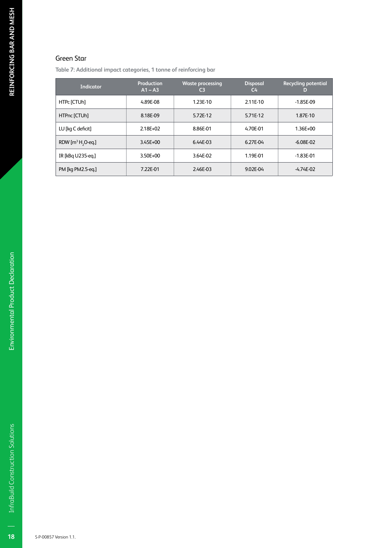#### Green Star

**Table 7: Additional impact categories, 1 tonne of reinforcing bar**

| Indicator                     | Production<br>$A1 - A3$ | <b>Waste processing</b><br>C3 | <b>Disposal</b><br>$C_{\mathbf{4}}$ | <b>Recycling potential</b><br>D |
|-------------------------------|-------------------------|-------------------------------|-------------------------------------|---------------------------------|
| HTPc [CTUh]                   | 4.89E-08                | 1.23E-10                      | 2.11E-10                            | $-1.85E-09$                     |
| HTPnc [CTUh]                  | 8.18E-09                | 5.72E-12                      | 5.71E-12                            | 1.87E-10                        |
| LU [kg C deficit]             | $2.18E + 02$            | 8.86E-01                      | 4.70E-01                            | $1.36E + 00$                    |
| RDW $[m^3 H, O \text{-} eq.]$ | $3.45E + 00$            | 6.44E-03                      | 6.27E-04                            | $-6.08E - 02$                   |
| IR [kBq U235-eq.]             | 3.50E+00                | 3.64E-02                      | 1.19E-01                            | $-1.83E - 01$                   |
| PM [kg PM2.5-eg.]             | 7.22E-01                | 2.46E-03                      | 9.02E-04                            | $-4.74E - 02$                   |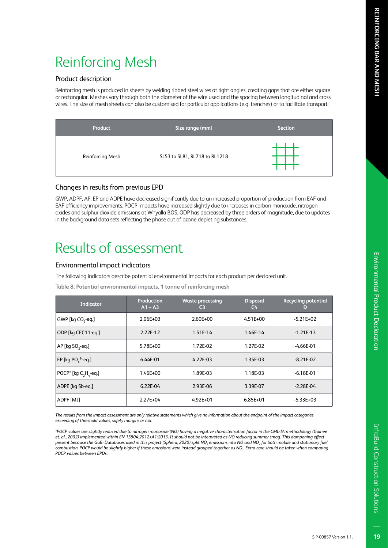#### Product description

Reinforcing mesh is produced in sheets by welding ribbed steel wires at right angles, creating gaps that are either square or rectangular. Meshes vary through both the diameter of the wire used and the spacing between longitudinal and cross wires. The size of mesh sheets can also be customised for particular applications (e.g. trenches) or to facilitate transport.

| Product          | Size range (mm)               | <b>Section</b> |
|------------------|-------------------------------|----------------|
| Reinforcing Mesh | SL53 to SL81, RL718 to RL1218 |                |

#### Changes in results from previous EPD

GWP, ADPF, AP, EP and ADPE have decreased significantly due to an increased proportion of production from EAF and EAF efficiency improvements. POCP impacts have increased slightly due to increases in carbon monoxide, nitrogen oxides and sulphur dioxide emissions at Whyalla BOS. ODP has decreased by three orders of magnitude, due to updates in the background data sets reflecting the phase out of ozone depleting substances.

## Results of assessment

#### Environmental impact indicators

The following indicators describe potential environmental impacts for each product per declared unit.

**Table 8: Potential environmental impacts, 1 tonne of reinforcing mesh**

| <b>Indicator</b>               | Production<br>$A1 - A3$ | <b>Waste processing</b><br>C <sub>3</sub> | <b>Disposal</b><br>$C_{\rm 4}$ | <b>Recycling potential</b><br>D |
|--------------------------------|-------------------------|-------------------------------------------|--------------------------------|---------------------------------|
| GWP [kg CO <sub>2</sub> -eq.]  | $2.06E + 03$            | $2.60E + 00$                              | $4.51E + 00$                   | $-5.21E+02$                     |
| ODP [kg CFC11-eg.]             | 2.22E-12                | 1.51E-14                                  | 1.46E-14                       | $-1.21E-13$                     |
| AP [kg $SO$ <sub>2</sub> -eq.] | 5.78E+00                | 1.72E-02                                  | 1.27E-02                       | $-4.66E-01$                     |
| EP [kg PO $^3$ -eq.]           | 6.44E-01                | $4.22E-03$                                | 1.35E-03                       | $-8.21E - 02$                   |
| POCP* [kg C, H, -eq.]          | $1.46E + 00$            | 1.89E-03                                  | 1.18E-03                       | $-6.18E - 01$                   |
| ADPE [kg Sb-eg.]               | $6.22E-04$              | 2.93E-06                                  | 3.39E-07                       | $-2.28E - 04$                   |
| ADPF [MJ]                      | $2.27E + 04$            | $4.92E + 01$                              | $6.85E + 01$                   | $-5.33E+03$                     |

*The results from the impact assessment are only relative statements which give no information about the endpoint of the impact categories, exceeding of threshold values, safety margins or risk.*

*\*POCP values are slightly reduced due to nitrogen monoxide (NO) having a negative characterisation factor in the CML-IA methodology (Guinée et. al., 2002) implemented within EN 15804:2012+A1:2013. It should not be interpreted as NO reducing summer smog. This dampening effect present because the GaBi Databases used in this project (Sphera, 2020) split NOx emissions into NO and NO2 for both mobile and stationary fuel combustion. POCP would be slightly higher if these emissions were instead grouped together as NOx. Extra care should be taken when comparing POCP values between EPDs.*

InfraBuild Construction Solutions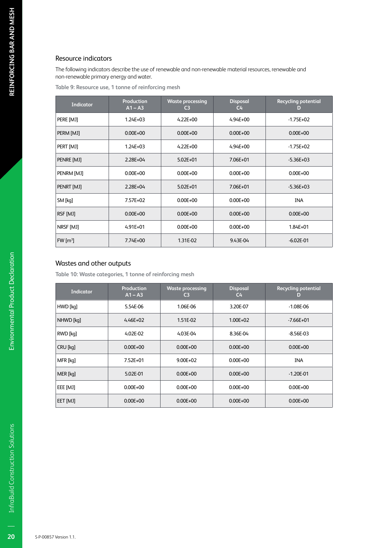#### Resource indicators

The following indicators describe the use of renewable and non-renewable material resources, renewable and non-renewable primary energy and water.

**Table 9: Resource use, 1 tonne of reinforcing mesh**

| <b>Indicator</b>      | <b>Production</b><br>$A1 - A3$ | <b>Waste processing</b><br>C <sub>3</sub> | <b>Disposal</b><br>$C_{\rm 4}$ | <b>Recycling potential</b><br>D |
|-----------------------|--------------------------------|-------------------------------------------|--------------------------------|---------------------------------|
| PERE [MJ]             | $1.24E + 03$                   | $4.22E + 00$                              | $4.94E + 00$                   | $-1.75E+02$                     |
| PERM [MJ]             | $0.00E + 00$                   | $0.00E + 00$                              | $0.00E + 00$                   | $0.00E + 00$                    |
| PERT [MJ]             | $1.24E + 03$                   | $4.22E + 00$                              | $4.94E + 00$                   | $-1.75E + 02$                   |
| PENRE [MJ]            | 2.28E+04                       | $5.02E + 01$                              | 7.06E+01                       | $-5.36E+03$                     |
| PENRM [MJ]            | $0.00E + 00$                   | $0.00E + 00$                              | $0.00E + 00$                   | $0.00E + 00$                    |
| PENRT [MJ]            | $2.28E + 04$                   | $5.02E + 01$                              | 7.06E+01                       | $-5.36E+03$                     |
| SM [kg]               | 7.57E+02                       | $0.00E + 00$                              | $0.00E + 00$                   | <b>INA</b>                      |
| RSF [MJ]              | $0.00E + 00$                   | $0.00E + 00$                              | $0.00E + 00$                   | $0.00E + 00$                    |
| NRSF [MJ]             | $4.91E + 01$                   | $0.00E + 00$                              | $0.00E + 00$                   | 1.84E+01                        |
| $FW \,[\mathrm{m}^3]$ | 7.74E+00                       | 1.31E-02                                  | 9.43E-04                       | $-6.02E - 01$                   |

#### Wastes and other outputs

**Table 10: Waste categories, 1 tonne of reinforcing mesh**

| <b>Indicator</b> | <b>Production</b><br>$A1 - A3$ | <b>Waste processing</b><br>C <sub>3</sub> | <b>Disposal</b><br>C <sub>4</sub> | <b>Recycling potential</b><br>D |
|------------------|--------------------------------|-------------------------------------------|-----------------------------------|---------------------------------|
| HWD [kq]         | 5.54E-06                       | 1.06E-06                                  | 3.20E-07                          | $-1.08E-06$                     |
| NHWD [kq]        | $4.46E + 02$                   | 1.51E-02                                  | $1.00E + 02$                      | $-7.66E+01$                     |
| RWD [kq]         | 4.02E-02                       | 4.03E-04                                  | 8.36E-04                          | $-8.56E-03$                     |
| CRU [kq]         | $0.00E + 00$                   | $0.00E + 00$                              | $0.00E + 00$                      | $0.00E + 00$                    |
| MFR [kq]         | 7.52E+01                       | $9.00E + 02$                              | $0.00E + 00$                      | <b>INA</b>                      |
| MER [kq]         | 5.02E-01                       | $0.00E + 00$                              | $0.00E + 00$                      | $-1.20E - 01$                   |
| EEE [MJ]         | $0.00E + 00$                   | $0.00E + 00$                              | $0.00E + 00$                      | $0.00E + 00$                    |
| EET [MJ]         | $0.00E + 00$                   | $0.00E + 00$                              | $0.00E + 00$                      | $0.00E + 00$                    |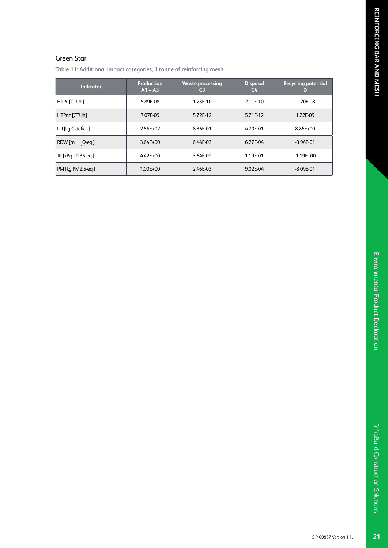$\overline{21}$ 

#### Green Star

**Table 11: Additional impact categories, 1 tonne of reinforcing mesh**

| <b>Indicator</b>              | <b>Production</b><br>$A1 - A3$ | <b>Waste processing</b><br>C <sub>3</sub> | <b>Disposal</b><br>C <sub>4</sub> | <b>Recycling potential</b><br>D |
|-------------------------------|--------------------------------|-------------------------------------------|-----------------------------------|---------------------------------|
| HTPc [CTUh]                   | 5.89E-08                       | 1.23E-10                                  | 2.11E-10                          | $-1.20E - 08$                   |
| HTPnc [CTUh]                  | 7.07E-09                       | 5.72E-12                                  | 5.71E-12                          | 1.22E-09                        |
| LU [kg C deficit]             | $2.55E+02$                     | 8.86E-01                                  | 4.70E-01                          | 8.86E+00                        |
| RDW $[m^3 H, O \text{-} eq.]$ | $3.64E + 00$                   | 6.44E-03                                  | 6.27E-04                          | $-3.96E - 01$                   |
| IR [kBq U235-eq.]             | $4.42E + 00$                   | 3.64E-02                                  | 1.19E-01                          | $-1.19E + 00$                   |
| PM [kg PM2.5-eg.]             | $1.00E + 00$                   | 2.46E-03                                  | 9.02E-04                          | $-3.09E - 01$                   |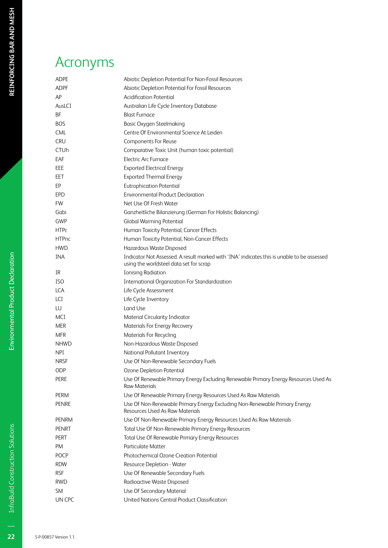## Acronyms

| <b>ADPE</b>  | Abiotic Depletion Potential For Non-Fossil Resources                                                                                  |
|--------------|---------------------------------------------------------------------------------------------------------------------------------------|
| <b>ADPF</b>  | Abiotic Depletion Potential For Fossil Resources                                                                                      |
| AP           | <b>Acidification Potential</b>                                                                                                        |
| AusLCI       | Australian Life Cycle Inventory Database                                                                                              |
| BF           | <b>Blast Furnace</b>                                                                                                                  |
| <b>BOS</b>   | <b>Basic Oxygen Steelmaking</b>                                                                                                       |
| <b>CML</b>   | Centre Of Environmental Science At Leiden                                                                                             |
| <b>CRU</b>   | Components For Reuse                                                                                                                  |
| <b>CTUh</b>  | Comparative Toxic Unit (human toxic potential)                                                                                        |
| EAF          | Electric Arc Furnace                                                                                                                  |
| EEE          | <b>Exported Electrical Energy</b>                                                                                                     |
| EET          | <b>Exported Thermal Energy</b>                                                                                                        |
| EP           | <b>Eutrophication Potential</b>                                                                                                       |
| <b>EPD</b>   | <b>Environmental Product Declaration</b>                                                                                              |
| <b>FW</b>    | Net Use Of Fresh Water                                                                                                                |
| Gabi         | Ganzheitliche Bilanzierung (German For Holistic Balancing)                                                                            |
| GWP          | <b>Global Warming Potential</b>                                                                                                       |
| <b>HTPc</b>  | Human Toxicity Potential, Cancer Effects                                                                                              |
| <b>HTPnc</b> | Human Toxicity Potential, Non-Cancer Effects                                                                                          |
| <b>HWD</b>   | Hazardous Waste Disposed                                                                                                              |
| <b>INA</b>   | Indicator Not Assessed. A result marked with 'INA' indicates this is unable to be assessed<br>using the worldsteel data set for scrap |
| IR           | <b>Ionising Radiation</b>                                                                                                             |
| <b>ISO</b>   | <b>International Organization For Standardization</b>                                                                                 |
| <b>LCA</b>   | Life Cycle Assessment                                                                                                                 |
| LCI          | Life Cycle Inventory                                                                                                                  |
| LU           | Land Use                                                                                                                              |
| MCI          | Material Circularity Indicator                                                                                                        |
| <b>MER</b>   | Materials For Energy Recovery                                                                                                         |
| <b>MFR</b>   | <b>Materials For Recycling</b>                                                                                                        |
| <b>NHWD</b>  | Non-Hazardous Waste Disposed                                                                                                          |
| <b>NPI</b>   | National Pollutant Inventory                                                                                                          |
| <b>NRSF</b>  | Use Of Non-Renewable Secondary Fuels                                                                                                  |
| ODP          | Ozone Depletion Potential                                                                                                             |
| PERE         | Use Of Renewable Primary Energy Excluding Renewable Primary Energy Resources Used As<br><b>Raw Materials</b>                          |
| PERM         | Use Of Renewable Primary Energy Resources Used As Raw Materials                                                                       |
| <b>PENRE</b> | Use Of Non-Renewable Primary Energy Excluding Non-Renewable Primary Energy<br><b>Resources Used As Raw Materials</b>                  |
| <b>PENRM</b> | Use Of Non-Renewable Primary Energy Resources Used As Raw Materials                                                                   |
| <b>PENRT</b> | Total Use Of Non-Renewable Primary Energy Resources                                                                                   |
| <b>PERT</b>  | Total Use Of Renewable Primary Energy Resources                                                                                       |
| PM           | <b>Particulate Matter</b>                                                                                                             |
| <b>POCP</b>  | Photochemical Ozone Creation Potential                                                                                                |
| <b>RDW</b>   | Resource Depletion - Water                                                                                                            |
| <b>RSF</b>   | Use Of Renewable Secondary Fuels                                                                                                      |
| <b>RWD</b>   | Radioactive Waste Disposed                                                                                                            |
| <b>SM</b>    | Use Of Secondary Material                                                                                                             |
| UN CPC       | United Nations Central Product Classification                                                                                         |

 $\overline{22}$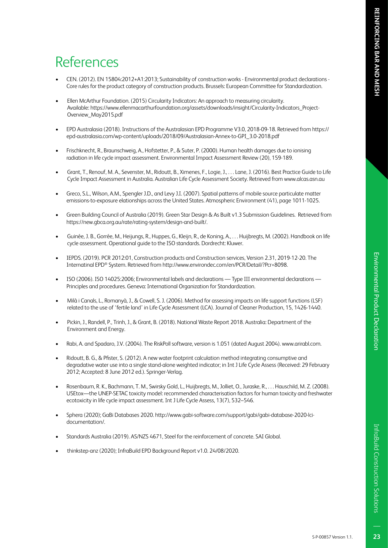23

## References

- CEN. (2012). EN 15804:2012+A1:2013; Sustainability of construction works Environmental product declarations Core rules for the product category of construction products. Brussels: European Committee for Standardization.
- Ellen McArthur Foundation. (2015) Circularity Indicators: An approach to measuring circularity. Available: https://www.ellenmacarthurfoundation.org/assets/downloads/insight/Circularity-Indicators\_Project-Overview\_May2015.pdf
- EPD Australasia (2018). Instructions of the Australasian EPD Programme V3.0, 2018-09-18. Retrieved from https:// epd-australasia.com/wp-content/uploads/2018/09/Australasian-Annex-to-GPI\_3.0-2018.pdf
- Frischknecht, R., Braunschweig, A., Hofstetter, P., & Suter, P. (2000). Human health damages due to ionising radiation in life cycle impact assessment. Environmental Impact Assessment Review (20), 159-189.
- Grant, T., Renouf, M. A., Sevenster, M., Ridoutt, B., Ximenes, F., Logie, J., . . . Lane, J. (2016). Best Practice Guide to Life Cycle Impact Assessment in Australia. Australian Life Cycle Assessment Society. Retrieved from www.alcas.asn.au
- Greco, S.L., Wilson, A.M., Spengler J.D., and Levy J.I. (2007). Spatial patterns of mobile source particulate matter emissions-to-exposure elationships across the United States. Atmospheric Environment (41), page 1011-1025.
- Green Building Council of Australia (2019). Green Star Design & As Built v1.3 Submission Guidelines. Retrieved from https://new.gbca.org.au/rate/rating-system/design-and-built/.
- Guinée, J. B., Gorrée, M., Heijungs, R., Huppes, G., Kleijn, R., de Koning, A., . . . Huijbregts, M. (2002). Handbook on life cycle assessment. Operational guide to the ISO standards. Dordrecht: Kluwer.
- IEPDS. (2019). PCR 2012:01, Construction products and Construction services, Version 2.31, 2019-12-20. The Internatinal EPD® System. Retrieved from http://www.environdec.com/en/PCR/Detail/?Pcr=8098.
- ISO (2006). ISO 14025:2006; Environmental labels and declarations Type III environmental declarations Principles and procedures. Geneva: International Organization for Standardization.
- Milà i Canals, L., Romanyà, J., & Cowell, S. J. (2006). Method for assessing impacts on life support functions (LSF) related to the use of 'fertile land' in Life Cycle Assessment (LCA). Journal of Cleaner Production, 15, 1426-1440.
- Pickin, J., Randell, P., Trinh, J., & Grant, B. (2018). National Waste Report 2018. Australia: Department of the Environment and Energy.
- Rabi, A. and Spadaro, J.V. (2004). The RiskPoll software, version is 1.051 (dated August 2004). www.arirabl.com.
- Ridoutt, B. G., & Pfister, S. (2012). A new water footprint calculation method integrating consumptive and degradative water use into a single stand-alone weighted indicator; in Int J Life Cycle Assess (Received: 29 February 2012; Accepted: 8 June 2012 ed.). Springer-Verlag.
- Rosenbaum, R. K., Bachmann, T. M., Swirsky Gold, L., Huijbregts, M., Jolliet, O., Juraske, R., . . . Hauschild, M. Z. (2008). USEtox—the UNEP-SETAC toxicity model: recommended characterisation factors for human toxicity and freshwater ecotoxicity in life cycle impact assessment. Int J Life Cycle Assess, 13(7), 532–546.
- Sphera (2020); GaBi Databases 2020. http://www.gabi-software.com/support/gabi/gabi-database-2020-lcidocumentation/.
- Standards Australia (2019). AS/NZS 4671, Steel for the reinforcement of concrete. SAI Global.
- thinkstep-anz (2020); InfraBuild EPD Background Report v1.0. 24/08/2020.